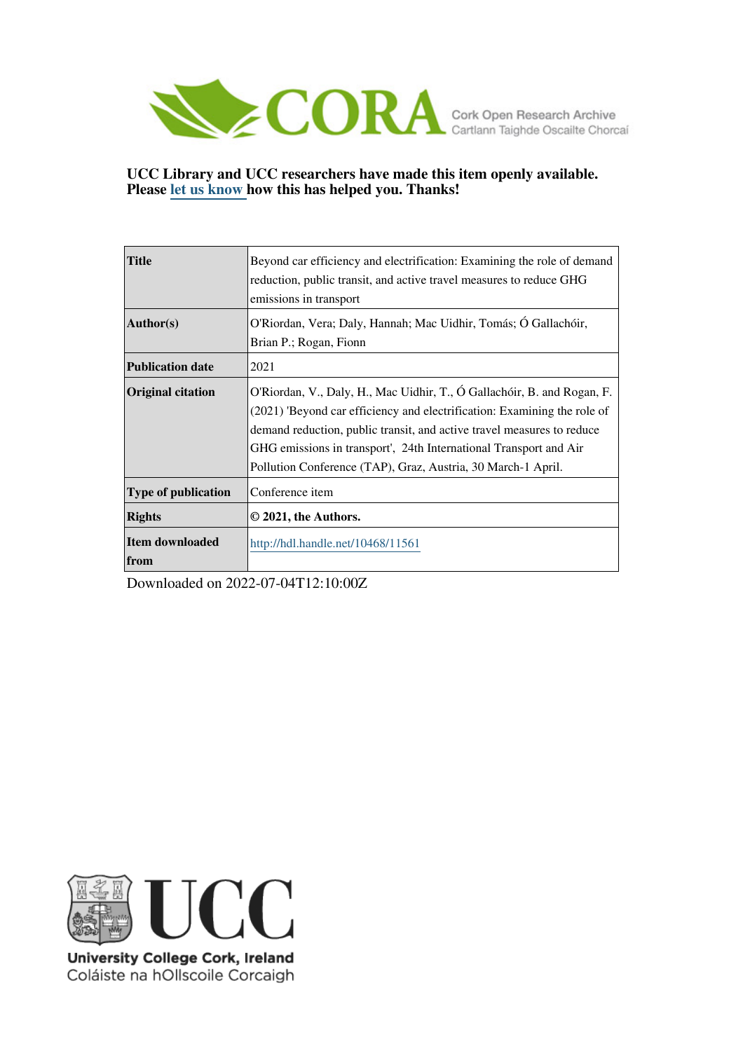

# **UCC Library and UCC researchers have made this item openly available. Please [let us know h](https://libguides.ucc.ie/openaccess/impact?suffix=11561&title=Beyond car efficiency and electrification: Examining the role of demand reduction, public transit, and active travel measures to reduce GHG emissions in transport)ow this has helped you. Thanks!**

| <b>Title</b>                   | Beyond car efficiency and electrification: Examining the role of demand<br>reduction, public transit, and active travel measures to reduce GHG<br>emissions in transport                                                                                                                                                                                           |
|--------------------------------|--------------------------------------------------------------------------------------------------------------------------------------------------------------------------------------------------------------------------------------------------------------------------------------------------------------------------------------------------------------------|
| Author(s)                      | O'Riordan, Vera; Daly, Hannah; Mac Uidhir, Tomás; Ó Gallachóir,<br>Brian P.; Rogan, Fionn                                                                                                                                                                                                                                                                          |
| <b>Publication date</b>        | 2021                                                                                                                                                                                                                                                                                                                                                               |
| <b>Original citation</b>       | O'Riordan, V., Daly, H., Mac Uidhir, T., Ó Gallachóir, B. and Rogan, F.<br>(2021) 'Beyond car efficiency and electrification: Examining the role of<br>demand reduction, public transit, and active travel measures to reduce<br>GHG emissions in transport', 24th International Transport and Air<br>Pollution Conference (TAP), Graz, Austria, 30 March-1 April. |
| <b>Type of publication</b>     | Conference item                                                                                                                                                                                                                                                                                                                                                    |
| <b>Rights</b>                  | © 2021, the Authors.                                                                                                                                                                                                                                                                                                                                               |
| <b>Item downloaded</b><br>from | http://hdl.handle.net/10468/11561                                                                                                                                                                                                                                                                                                                                  |

Downloaded on 2022-07-04T12:10:00Z



University College Cork, Ireland Coláiste na hOllscoile Corcaigh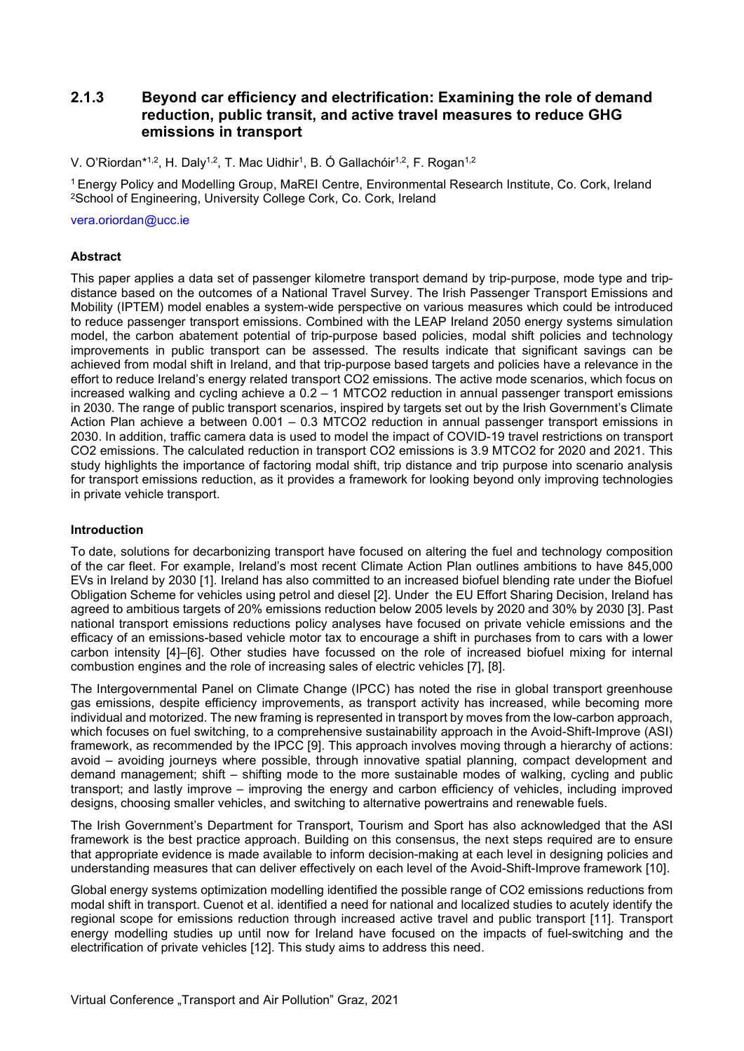# 2.1.3 Beyond car efficiency and electrification: Examining the role of demand reduction, public transit, and active travel measures to reduce GHG emissions in transport

V. O'Riordan\*<sup>1,2</sup>, H. Daly<sup>1,2</sup>, T. Mac Uidhir<sup>1</sup>, B. Ó Gallachóir<sup>1,2</sup>, F. Rogan<sup>1,2</sup>

<sup>1</sup>Energy Policy and Modelling Group, MaREI Centre, Environmental Research Institute, Co. Cork, Ireland <sup>2</sup>School of Engineering, University College Cork, Co. Cork, Ireland

vera.oriordan@ucc.ie

#### **Abstract**

This paper applies a data set of passenger kilometre transport demand by trip-purpose, mode type and tripdistance based on the outcomes of a National Travel Survey. The Irish Passenger Transport Emissions and Mobility (IPTEM) model enables a system-wide perspective on various measures which could be introduced to reduce passenger transport emissions. Combined with the LEAP Ireland 2050 energy systems simulation model, the carbon abatement potential of trip-purpose based policies, modal shift policies and technology improvements in public transport can be assessed. The results indicate that significant savings can be achieved from modal shift in Ireland, and that trip-purpose based targets and policies have a relevance in the effort to reduce Ireland's energy related transport CO2 emissions. The active mode scenarios, which focus on increased walking and cycling achieve a 0.2 – 1 MTCO2 reduction in annual passenger transport emissions in 2030. The range of public transport scenarios, inspired by targets set out by the Irish Government's Climate Action Plan achieve a between 0.001 – 0.3 MTCO2 reduction in annual passenger transport emissions in 2030. In addition, traffic camera data is used to model the impact of COVID-19 travel restrictions on transport CO2 emissions. The calculated reduction in transport CO2 emissions is 3.9 MTCO2 for 2020 and 2021. This study highlights the importance of factoring modal shift, trip distance and trip purpose into scenario analysis for transport emissions reduction, as it provides a framework for looking beyond only improving technologies in private vehicle transport.

#### Introduction

To date, solutions for decarbonizing transport have focused on altering the fuel and technology composition of the car fleet. For example, Ireland's most recent Climate Action Plan outlines ambitions to have 845,000 EVs in Ireland by 2030 [1]. Ireland has also committed to an increased biofuel blending rate under the Biofuel Obligation Scheme for vehicles using petrol and diesel [2]. Under the EU Effort Sharing Decision, Ireland has agreed to ambitious targets of 20% emissions reduction below 2005 levels by 2020 and 30% by 2030 [3]. Past national transport emissions reductions policy analyses have focused on private vehicle emissions and the efficacy of an emissions-based vehicle motor tax to encourage a shift in purchases from to cars with a lower carbon intensity [4]–[6]. Other studies have focussed on the role of increased biofuel mixing for internal combustion engines and the role of increasing sales of electric vehicles [7], [8].

The Intergovernmental Panel on Climate Change (IPCC) has noted the rise in global transport greenhouse gas emissions, despite efficiency improvements, as transport activity has increased, while becoming more individual and motorized. The new framing is represented in transport by moves from the low-carbon approach, which focuses on fuel switching, to a comprehensive sustainability approach in the Avoid-Shift-Improve (ASI) framework, as recommended by the IPCC [9]. This approach involves moving through a hierarchy of actions: avoid – avoiding journeys where possible, through innovative spatial planning, compact development and demand management; shift – shifting mode to the more sustainable modes of walking, cycling and public transport; and lastly improve – improving the energy and carbon efficiency of vehicles, including improved designs, choosing smaller vehicles, and switching to alternative powertrains and renewable fuels.

The Irish Government's Department for Transport, Tourism and Sport has also acknowledged that the ASI framework is the best practice approach. Building on this consensus, the next steps required are to ensure that appropriate evidence is made available to inform decision-making at each level in designing policies and understanding measures that can deliver effectively on each level of the Avoid-Shift-Improve framework [10].

Global energy systems optimization modelling identified the possible range of CO2 emissions reductions from modal shift in transport. Cuenot et al. identified a need for national and localized studies to acutely identify the regional scope for emissions reduction through increased active travel and public transport [11]. Transport energy modelling studies up until now for Ireland have focused on the impacts of fuel-switching and the electrification of private vehicles [12]. This study aims to address this need.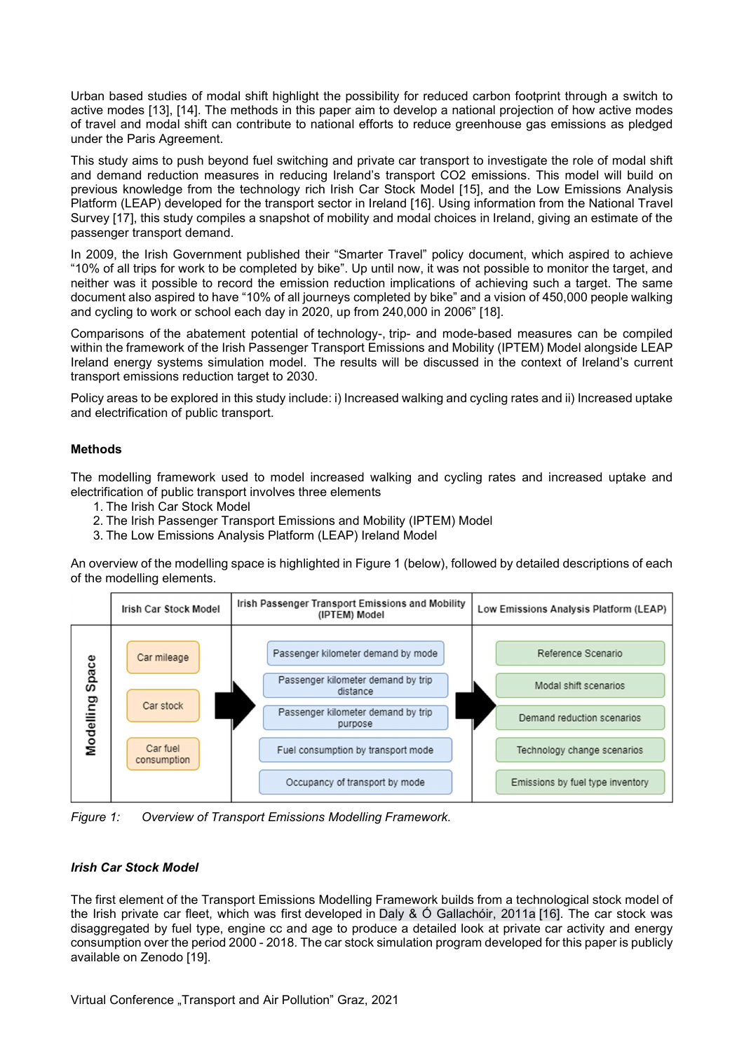Urban based studies of modal shift highlight the possibility for reduced carbon footprint through a switch to active modes [13], [14]. The methods in this paper aim to develop a national projection of how active modes of travel and modal shift can contribute to national efforts to reduce greenhouse gas emissions as pledged under the Paris Agreement.

This study aims to push beyond fuel switching and private car transport to investigate the role of modal shift and demand reduction measures in reducing Ireland's transport CO2 emissions. This model will build on previous knowledge from the technology rich Irish Car Stock Model [15], and the Low Emissions Analysis Platform (LEAP) developed for the transport sector in Ireland [16]. Using information from the National Travel Survey [17], this study compiles a snapshot of mobility and modal choices in Ireland, giving an estimate of the passenger transport demand.

In 2009, the Irish Government published their "Smarter Travel" policy document, which aspired to achieve "10% of all trips for work to be completed by bike". Up until now, it was not possible to monitor the target, and neither was it possible to record the emission reduction implications of achieving such a target. The same document also aspired to have "10% of all journeys completed by bike" and a vision of 450,000 people walking and cycling to work or school each day in 2020, up from 240,000 in 2006" [18].

Comparisons of the abatement potential of technology-, trip- and mode-based measures can be compiled within the framework of the Irish Passenger Transport Emissions and Mobility (IPTEM) Model alongside LEAP Ireland energy systems simulation model. The results will be discussed in the context of Ireland's current transport emissions reduction target to 2030.

Policy areas to be explored in this study include: i) Increased walking and cycling rates and ii) Increased uptake and electrification of public transport.

## Methods

The modelling framework used to model increased walking and cycling rates and increased uptake and electrification of public transport involves three elements

- 1. The Irish Car Stock Model
- 2. The Irish Passenger Transport Emissions and Mobility (IPTEM) Model
- 3. The Low Emissions Analysis Platform (LEAP) Ireland Model

An overview of the modelling space is highlighted in Figure 1 (below), followed by detailed descriptions of each of the modelling elements.



Figure 1: Overview of Transport Emissions Modelling Framework.

## Irish Car Stock Model

The first element of the Transport Emissions Modelling Framework builds from a technological stock model of the Irish private car fleet, which was first developed in Daly & Ó Gallachóir, 2011a [16]. The car stock was disaggregated by fuel type, engine cc and age to produce a detailed look at private car activity and energy consumption over the period 2000 - 2018. The car stock simulation program developed for this paper is publicly available on Zenodo [19].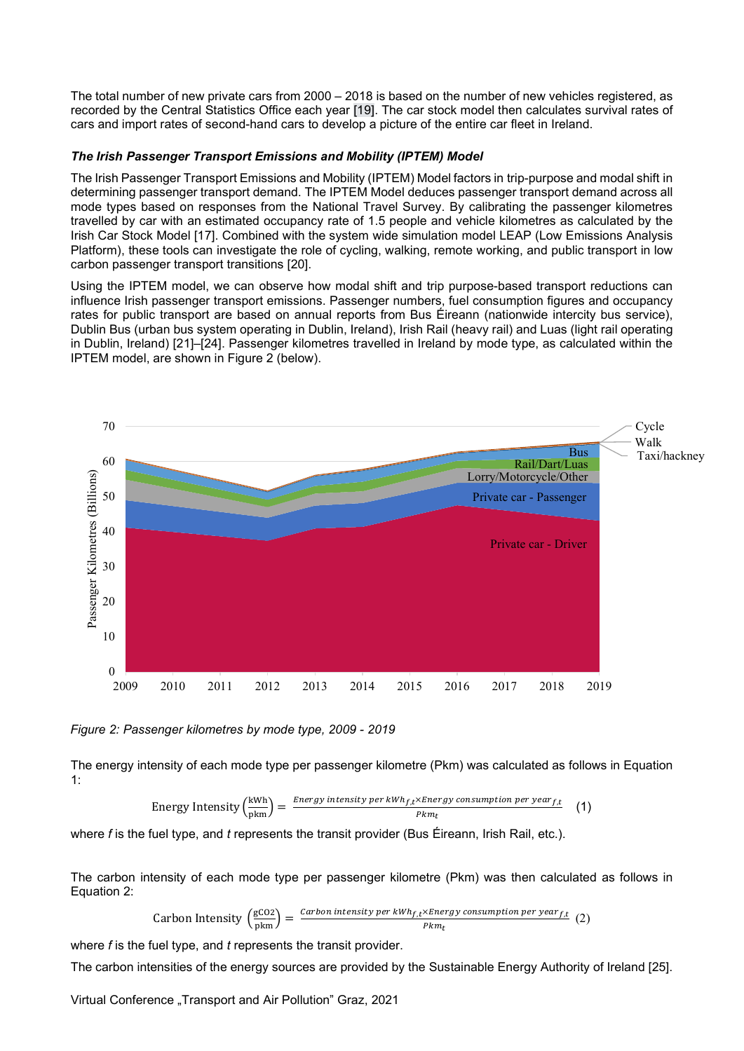The total number of new private cars from 2000 – 2018 is based on the number of new vehicles registered, as recorded by the Central Statistics Office each year [19]. The car stock model then calculates survival rates of cars and import rates of second-hand cars to develop a picture of the entire car fleet in Ireland.

# The Irish Passenger Transport Emissions and Mobility (IPTEM) Model

The Irish Passenger Transport Emissions and Mobility (IPTEM) Model factors in trip-purpose and modal shift in determining passenger transport demand. The IPTEM Model deduces passenger transport demand across all mode types based on responses from the National Travel Survey. By calibrating the passenger kilometres travelled by car with an estimated occupancy rate of 1.5 people and vehicle kilometres as calculated by the Irish Car Stock Model [17]. Combined with the system wide simulation model LEAP (Low Emissions Analysis Platform), these tools can investigate the role of cycling, walking, remote working, and public transport in low carbon passenger transport transitions [20].

Using the IPTEM model, we can observe how modal shift and trip purpose-based transport reductions can influence Irish passenger transport emissions. Passenger numbers, fuel consumption figures and occupancy rates for public transport are based on annual reports from Bus Éireann (nationwide intercity bus service), Dublin Bus (urban bus system operating in Dublin, Ireland), Irish Rail (heavy rail) and Luas (light rail operating in Dublin, Ireland) [21]–[24]. Passenger kilometres travelled in Ireland by mode type, as calculated within the IPTEM model, are shown in Figure 2 (below).



Figure 2: Passenger kilometres by mode type, 2009 - 2019

The energy intensity of each mode type per passenger kilometre (Pkm) was calculated as follows in Equation 1:

Energy Intensity 
$$
\left(\frac{kWh}{pkm}\right) = \frac{Energy intensity \ per \ kWh_{f,t} \times Energy \ consumption \ per \ year_{f,t}}{Pkm_t}
$$
 (1)

where  $f$  is the fuel type, and  $t$  represents the transit provider (Bus Éireann, Irish Rail, etc.).

The carbon intensity of each mode type per passenger kilometre (Pkm) was then calculated as follows in Equation 2:

Carbon Intensity 
$$
\left(\frac{gCO2}{pkm}\right) = \frac{Carbon intensity \, per \, kWh_{f,t} \times Energy \, consumption \, per \, year_{f,t}}{Pkm_t}
$$
 (2)

where  $f$  is the fuel type, and  $t$  represents the transit provider.

The carbon intensities of the energy sources are provided by the Sustainable Energy Authority of Ireland [25].

Virtual Conference "Transport and Air Pollution" Graz, 2021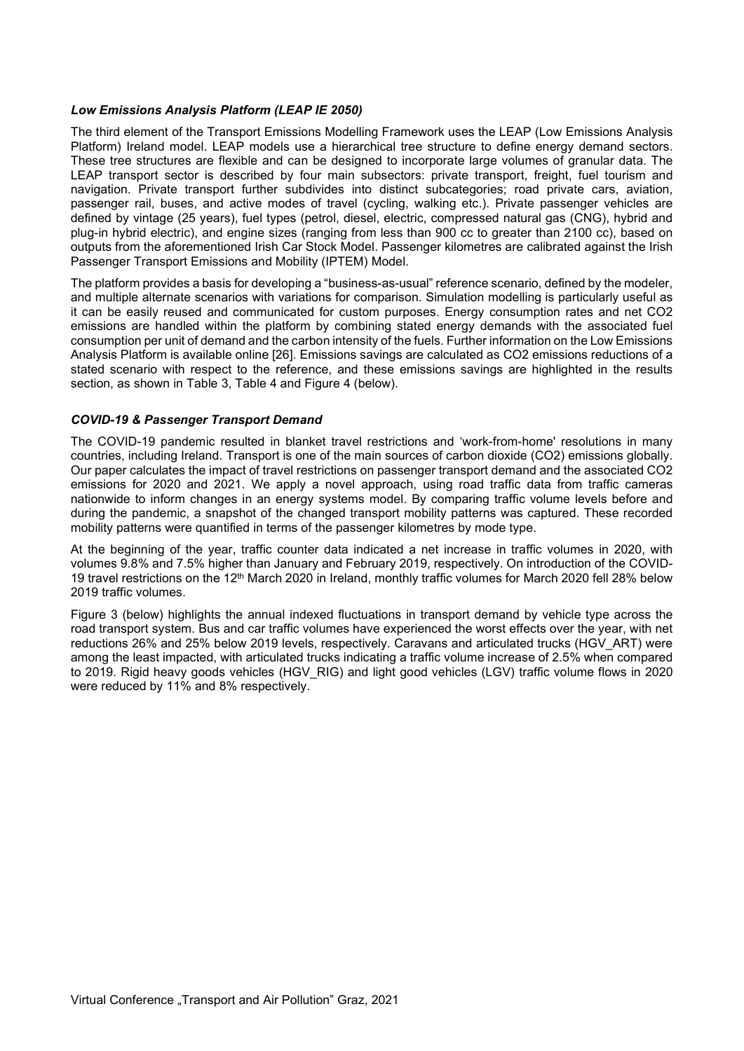#### Low Emissions Analysis Platform (LEAP IE 2050)

The third element of the Transport Emissions Modelling Framework uses the LEAP (Low Emissions Analysis Platform) Ireland model. LEAP models use a hierarchical tree structure to define energy demand sectors. These tree structures are flexible and can be designed to incorporate large volumes of granular data. The LEAP transport sector is described by four main subsectors: private transport, freight, fuel tourism and navigation. Private transport further subdivides into distinct subcategories; road private cars, aviation, passenger rail, buses, and active modes of travel (cycling, walking etc.). Private passenger vehicles are defined by vintage (25 years), fuel types (petrol, diesel, electric, compressed natural gas (CNG), hybrid and plug-in hybrid electric), and engine sizes (ranging from less than 900 cc to greater than 2100 cc), based on outputs from the aforementioned Irish Car Stock Model. Passenger kilometres are calibrated against the Irish Passenger Transport Emissions and Mobility (IPTEM) Model.

The platform provides a basis for developing a "business-as-usual" reference scenario, defined by the modeler, and multiple alternate scenarios with variations for comparison. Simulation modelling is particularly useful as it can be easily reused and communicated for custom purposes. Energy consumption rates and net CO2 emissions are handled within the platform by combining stated energy demands with the associated fuel consumption per unit of demand and the carbon intensity of the fuels. Further information on the Low Emissions Analysis Platform is available online [26]. Emissions savings are calculated as CO2 emissions reductions of a stated scenario with respect to the reference, and these emissions savings are highlighted in the results section, as shown in Table 3, Table 4 and Figure 4 (below).

## COVID-19 & Passenger Transport Demand

The COVID-19 pandemic resulted in blanket travel restrictions and 'work-from-home' resolutions in many countries, including Ireland. Transport is one of the main sources of carbon dioxide (CO2) emissions globally. Our paper calculates the impact of travel restrictions on passenger transport demand and the associated CO2 emissions for 2020 and 2021. We apply a novel approach, using road traffic data from traffic cameras nationwide to inform changes in an energy systems model. By comparing traffic volume levels before and during the pandemic, a snapshot of the changed transport mobility patterns was captured. These recorded mobility patterns were quantified in terms of the passenger kilometres by mode type.

At the beginning of the year, traffic counter data indicated a net increase in traffic volumes in 2020, with volumes 9.8% and 7.5% higher than January and February 2019, respectively. On introduction of the COVID-19 travel restrictions on the 12th March 2020 in Ireland, monthly traffic volumes for March 2020 fell 28% below 2019 traffic volumes.

Figure 3 (below) highlights the annual indexed fluctuations in transport demand by vehicle type across the road transport system. Bus and car traffic volumes have experienced the worst effects over the year, with net reductions 26% and 25% below 2019 levels, respectively. Caravans and articulated trucks (HGV\_ART) were among the least impacted, with articulated trucks indicating a traffic volume increase of 2.5% when compared to 2019. Rigid heavy goods vehicles (HGV\_RIG) and light good vehicles (LGV) traffic volume flows in 2020 were reduced by 11% and 8% respectively.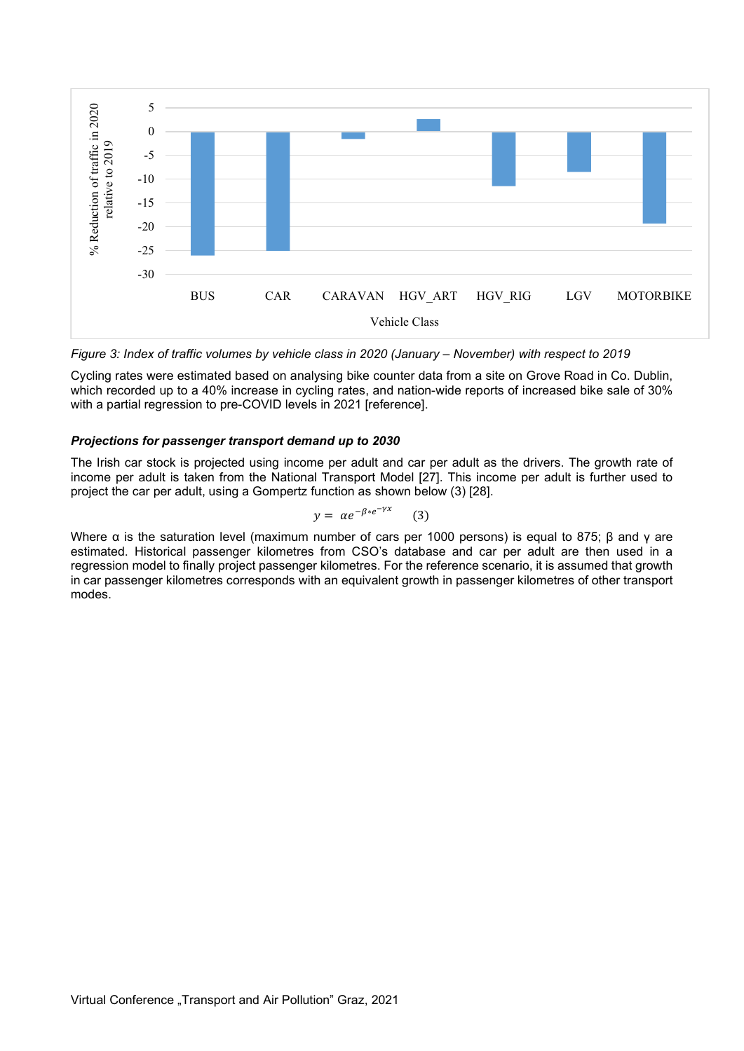

Figure 3: Index of traffic volumes by vehicle class in 2020 (January – November) with respect to 2019

Cycling rates were estimated based on analysing bike counter data from a site on Grove Road in Co. Dublin, which recorded up to a 40% increase in cycling rates, and nation-wide reports of increased bike sale of 30% with a partial regression to pre-COVID levels in 2021 [reference].

## Projections for passenger transport demand up to 2030

The Irish car stock is projected using income per adult and car per adult as the drivers. The growth rate of income per adult is taken from the National Transport Model [27]. This income per adult is further used to project the car per adult, using a Gompertz function as shown below (3) [28].

$$
y = \alpha e^{-\beta * e^{-\gamma x}} \qquad (3)
$$

Where α is the saturation level (maximum number of cars per 1000 persons) is equal to 875; β and γ are estimated. Historical passenger kilometres from CSO's database and car per adult are then used in a regression model to finally project passenger kilometres. For the reference scenario, it is assumed that growth in car passenger kilometres corresponds with an equivalent growth in passenger kilometres of other transport modes.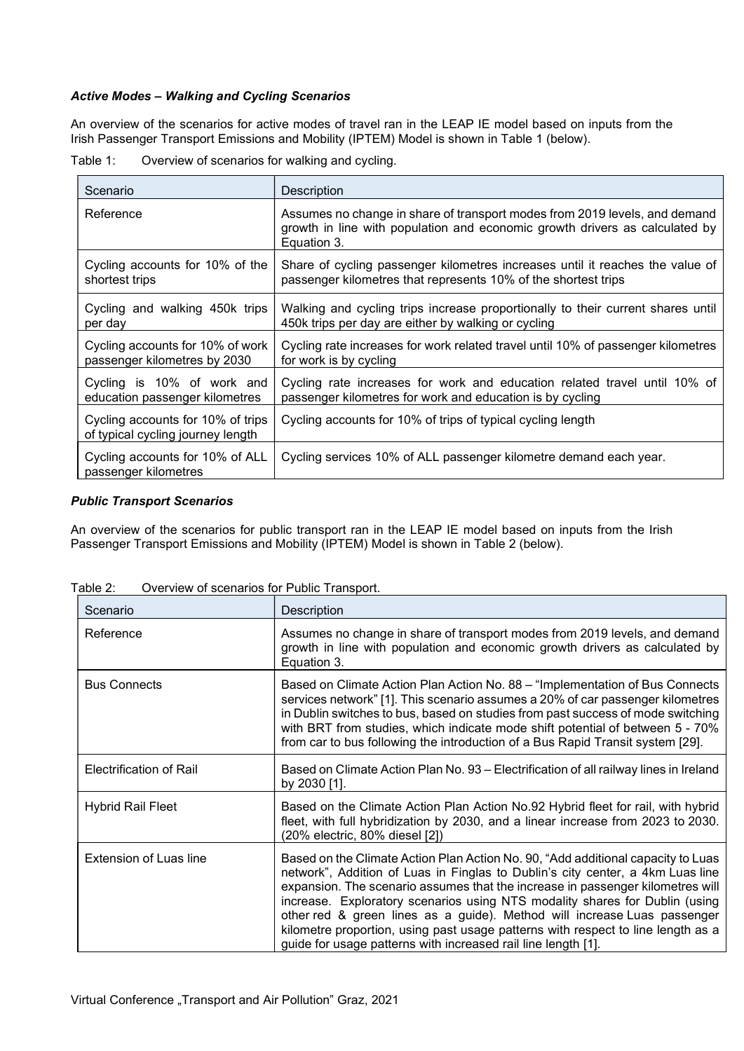# Active Modes – Walking and Cycling Scenarios

An overview of the scenarios for active modes of travel ran in the LEAP IE model based on inputs from the Irish Passenger Transport Emissions and Mobility (IPTEM) Model is shown in Table 1 (below).

| Table 1: |  | Overview of scenarios for walking and cycling. |
|----------|--|------------------------------------------------|

| Scenario                                                               | Description                                                                                                                                                              |
|------------------------------------------------------------------------|--------------------------------------------------------------------------------------------------------------------------------------------------------------------------|
| Reference                                                              | Assumes no change in share of transport modes from 2019 levels, and demand<br>growth in line with population and economic growth drivers as calculated by<br>Equation 3. |
| Cycling accounts for 10% of the                                        | Share of cycling passenger kilometres increases until it reaches the value of                                                                                            |
| shortest trips                                                         | passenger kilometres that represents 10% of the shortest trips                                                                                                           |
| Cycling and walking 450k trips                                         | Walking and cycling trips increase proportionally to their current shares until                                                                                          |
| per day                                                                | 450k trips per day are either by walking or cycling                                                                                                                      |
| Cycling accounts for 10% of work                                       | Cycling rate increases for work related travel until 10% of passenger kilometres                                                                                         |
| passenger kilometres by 2030                                           | for work is by cycling                                                                                                                                                   |
| Cycling is 10% of work and                                             | Cycling rate increases for work and education related travel until 10% of                                                                                                |
| education passenger kilometres                                         | passenger kilometres for work and education is by cycling                                                                                                                |
| Cycling accounts for 10% of trips<br>of typical cycling journey length | Cycling accounts for 10% of trips of typical cycling length                                                                                                              |
| Cycling accounts for 10% of ALL<br>passenger kilometres                | Cycling services 10% of ALL passenger kilometre demand each year.                                                                                                        |

## Public Transport Scenarios

An overview of the scenarios for public transport ran in the LEAP IE model based on inputs from the Irish Passenger Transport Emissions and Mobility (IPTEM) Model is shown in Table 2 (below).

| Scenario                      | Description                                                                                                                                                                                                                                                                                                                                                                                                                                                                                                                                                          |
|-------------------------------|----------------------------------------------------------------------------------------------------------------------------------------------------------------------------------------------------------------------------------------------------------------------------------------------------------------------------------------------------------------------------------------------------------------------------------------------------------------------------------------------------------------------------------------------------------------------|
| Reference                     | Assumes no change in share of transport modes from 2019 levels, and demand<br>growth in line with population and economic growth drivers as calculated by<br>Equation 3.                                                                                                                                                                                                                                                                                                                                                                                             |
| <b>Bus Connects</b>           | Based on Climate Action Plan Action No. 88 – "Implementation of Bus Connects"<br>services network" [1]. This scenario assumes a 20% of car passenger kilometres<br>in Dublin switches to bus, based on studies from past success of mode switching<br>with BRT from studies, which indicate mode shift potential of between 5 - 70%<br>from car to bus following the introduction of a Bus Rapid Transit system [29].                                                                                                                                                |
| Electrification of Rail       | Based on Climate Action Plan No. 93 – Electrification of all railway lines in Ireland<br>by 2030 [1].                                                                                                                                                                                                                                                                                                                                                                                                                                                                |
| <b>Hybrid Rail Fleet</b>      | Based on the Climate Action Plan Action No.92 Hybrid fleet for rail, with hybrid<br>fleet, with full hybridization by 2030, and a linear increase from 2023 to 2030.<br>(20% electric, 80% diesel [2])                                                                                                                                                                                                                                                                                                                                                               |
| <b>Extension of Luas line</b> | Based on the Climate Action Plan Action No. 90, "Add additional capacity to Luas<br>network", Addition of Luas in Finglas to Dublin's city center, a 4km Luas line<br>expansion. The scenario assumes that the increase in passenger kilometres will<br>increase. Exploratory scenarios using NTS modality shares for Dublin (using<br>other red & green lines as a guide). Method will increase Luas passenger<br>kilometre proportion, using past usage patterns with respect to line length as a<br>guide for usage patterns with increased rail line length [1]. |

Table 2: Overview of scenarios for Public Transport.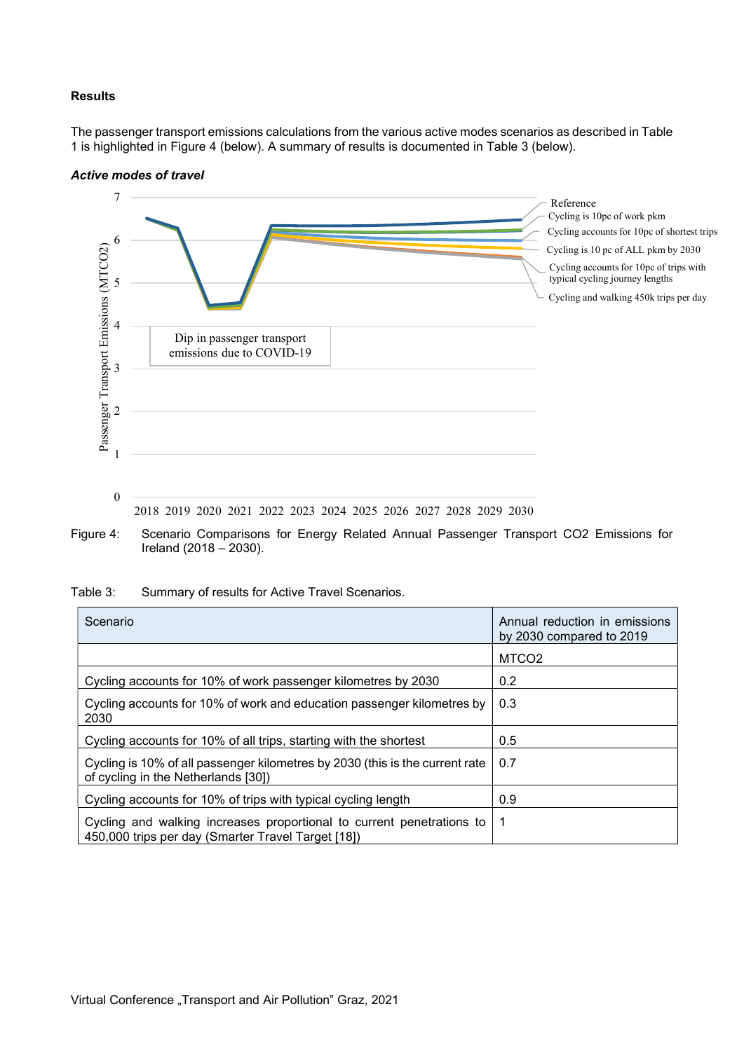#### Results

The passenger transport emissions calculations from the various active modes scenarios as described in Table 1 is highlighted in Figure 4 (below). A summary of results is documented in Table 3 (below).

#### Active modes of travel



Figure 4: Scenario Comparisons for Energy Related Annual Passenger Transport CO2 Emissions for Ireland (2018 – 2030).

| Scenario                                                                                                                    | Annual reduction in emissions<br>by 2030 compared to 2019 |
|-----------------------------------------------------------------------------------------------------------------------------|-----------------------------------------------------------|
|                                                                                                                             | MTCO <sub>2</sub>                                         |
| Cycling accounts for 10% of work passenger kilometres by 2030                                                               | 0.2                                                       |
| Cycling accounts for 10% of work and education passenger kilometres by<br>2030                                              | 0.3                                                       |
| Cycling accounts for 10% of all trips, starting with the shortest                                                           | 0.5                                                       |
| Cycling is 10% of all passenger kilometres by 2030 (this is the current rate<br>of cycling in the Netherlands [30])         | 0.7                                                       |
| Cycling accounts for 10% of trips with typical cycling length                                                               | 0.9                                                       |
| Cycling and walking increases proportional to current penetrations to<br>450,000 trips per day (Smarter Travel Target [18]) | 1                                                         |

Table 3: Summary of results for Active Travel Scenarios.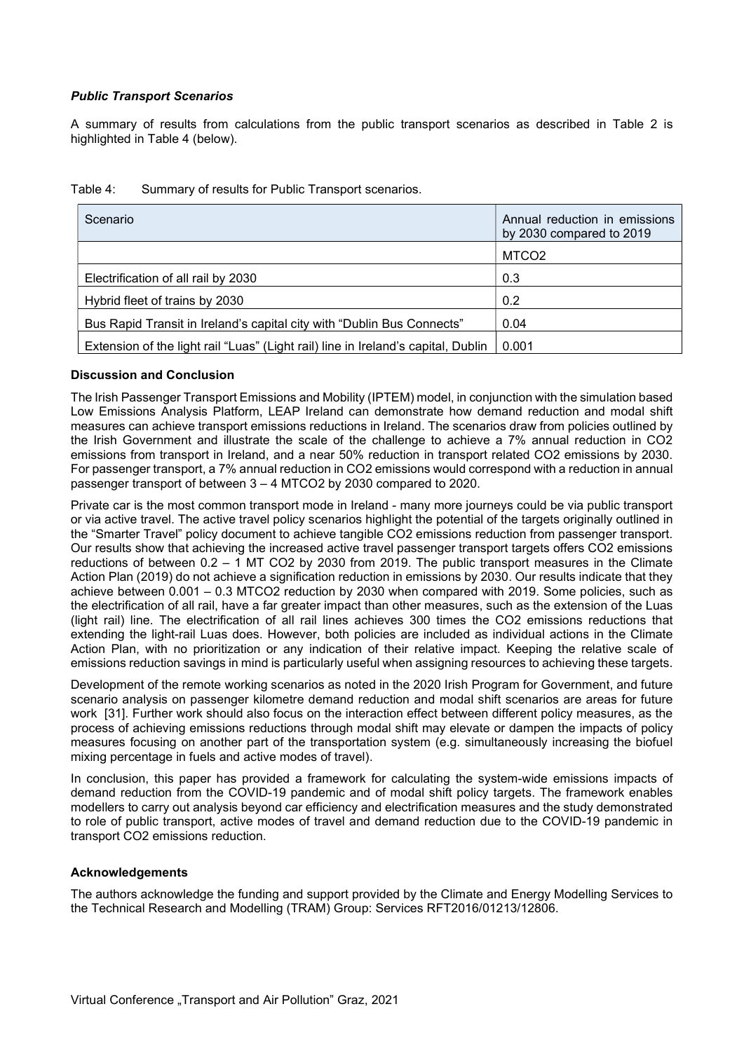## Public Transport Scenarios

A summary of results from calculations from the public transport scenarios as described in Table 2 is highlighted in Table 4 (below).

| Scenario                                                                          | Annual reduction in emissions<br>by 2030 compared to 2019 |
|-----------------------------------------------------------------------------------|-----------------------------------------------------------|
|                                                                                   | MTCO <sub>2</sub>                                         |
| Electrification of all rail by 2030                                               | 0.3                                                       |
| Hybrid fleet of trains by 2030                                                    | 0.2                                                       |
| Bus Rapid Transit in Ireland's capital city with "Dublin Bus Connects"            | 0.04                                                      |
| Extension of the light rail "Luas" (Light rail) line in Ireland's capital, Dublin | 0.001                                                     |

| Table 4: | Summary of results for Public Transport scenarios. |  |
|----------|----------------------------------------------------|--|
|          |                                                    |  |

## Discussion and Conclusion

The Irish Passenger Transport Emissions and Mobility (IPTEM) model, in conjunction with the simulation based Low Emissions Analysis Platform, LEAP Ireland can demonstrate how demand reduction and modal shift measures can achieve transport emissions reductions in Ireland. The scenarios draw from policies outlined by the Irish Government and illustrate the scale of the challenge to achieve a 7% annual reduction in CO2 emissions from transport in Ireland, and a near 50% reduction in transport related CO2 emissions by 2030. For passenger transport, a 7% annual reduction in CO2 emissions would correspond with a reduction in annual passenger transport of between 3 – 4 MTCO2 by 2030 compared to 2020.

Private car is the most common transport mode in Ireland - many more journeys could be via public transport or via active travel. The active travel policy scenarios highlight the potential of the targets originally outlined in the "Smarter Travel" policy document to achieve tangible CO2 emissions reduction from passenger transport. Our results show that achieving the increased active travel passenger transport targets offers CO2 emissions reductions of between  $0.2 - 1$  MT CO2 by 2030 from 2019. The public transport measures in the Climate Action Plan (2019) do not achieve a signification reduction in emissions by 2030. Our results indicate that they achieve between 0.001 – 0.3 MTCO2 reduction by 2030 when compared with 2019. Some policies, such as the electrification of all rail, have a far greater impact than other measures, such as the extension of the Luas (light rail) line. The electrification of all rail lines achieves 300 times the CO2 emissions reductions that extending the light-rail Luas does. However, both policies are included as individual actions in the Climate Action Plan, with no prioritization or any indication of their relative impact. Keeping the relative scale of emissions reduction savings in mind is particularly useful when assigning resources to achieving these targets.

Development of the remote working scenarios as noted in the 2020 Irish Program for Government, and future scenario analysis on passenger kilometre demand reduction and modal shift scenarios are areas for future work [31]. Further work should also focus on the interaction effect between different policy measures, as the process of achieving emissions reductions through modal shift may elevate or dampen the impacts of policy measures focusing on another part of the transportation system (e.g. simultaneously increasing the biofuel mixing percentage in fuels and active modes of travel).

In conclusion, this paper has provided a framework for calculating the system-wide emissions impacts of demand reduction from the COVID-19 pandemic and of modal shift policy targets. The framework enables modellers to carry out analysis beyond car efficiency and electrification measures and the study demonstrated to role of public transport, active modes of travel and demand reduction due to the COVID-19 pandemic in transport CO2 emissions reduction.

## Acknowledgements

The authors acknowledge the funding and support provided by the Climate and Energy Modelling Services to the Technical Research and Modelling (TRAM) Group: Services RFT2016/01213/12806.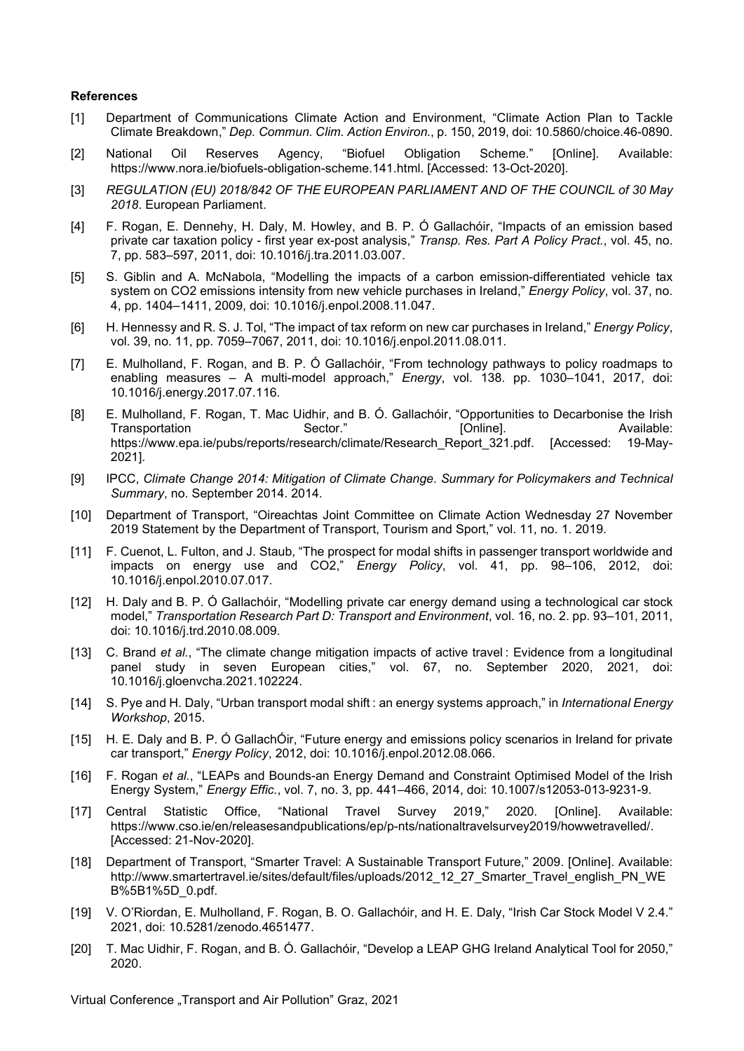#### References

- [1] Department of Communications Climate Action and Environment, "Climate Action Plan to Tackle Climate Breakdown," Dep. Commun. Clim. Action Environ., p. 150, 2019, doi: 10.5860/choice.46-0890.
- [2] National Oil Reserves Agency, "Biofuel Obligation Scheme." [Online]. Available: https://www.nora.ie/biofuels-obligation-scheme.141.html. [Accessed: 13-Oct-2020].
- [3] REGULATION (EU) 2018/842 OF THE EUROPEAN PARLIAMENT AND OF THE COUNCIL of 30 May 2018. European Parliament.
- [4] F. Rogan, E. Dennehy, H. Daly, M. Howley, and B. P. Ó Gallachóir, "Impacts of an emission based private car taxation policy - first year ex-post analysis," Transp. Res. Part A Policy Pract., vol. 45, no. 7, pp. 583–597, 2011, doi: 10.1016/j.tra.2011.03.007.
- [5] S. Giblin and A. McNabola, "Modelling the impacts of a carbon emission-differentiated vehicle tax system on CO2 emissions intensity from new vehicle purchases in Ireland," Energy Policy, vol. 37, no. 4, pp. 1404–1411, 2009, doi: 10.1016/j.enpol.2008.11.047.
- [6] H. Hennessy and R. S. J. Tol, "The impact of tax reform on new car purchases in Ireland," *Energy Policy*, vol. 39, no. 11, pp. 7059–7067, 2011, doi: 10.1016/j.enpol.2011.08.011.
- [7] E. Mulholland, F. Rogan, and B. P. Ó Gallachóir, "From technology pathways to policy roadmaps to enabling measures – A multi-model approach," *Energy*, vol. 138. pp. 1030–1041, 2017, doi: 10.1016/j.energy.2017.07.116.
- [8] E. Mulholland, F. Rogan, T. Mac Uidhir, and B. Ó. Gallachóir, "Opportunities to Decarbonise the Irish Transportation **Sector.**" Sector." 
Sector<sup>®</sup> 
<sub>[Online]. Available:</sub> https://www.epa.ie/pubs/reports/research/climate/Research\_Report\_321.pdf. [Accessed: 19-May-2021].
- [9] IPCC, Climate Change 2014: Mitigation of Climate Change. Summary for Policymakers and Technical Summary, no. September 2014. 2014.
- [10] Department of Transport, "Oireachtas Joint Committee on Climate Action Wednesday 27 November 2019 Statement by the Department of Transport, Tourism and Sport," vol. 11, no. 1. 2019.
- [11] F. Cuenot, L. Fulton, and J. Staub, "The prospect for modal shifts in passenger transport worldwide and impacts on energy use and CO2," Energy Policy, vol. 41, pp. 98-106, 2012, doi: 10.1016/j.enpol.2010.07.017.
- [12] H. Daly and B. P. Ó Gallachóir, "Modelling private car energy demand using a technological car stock model," Transportation Research Part D: Transport and Environment, vol. 16, no. 2. pp. 93–101, 2011, doi: 10.1016/j.trd.2010.08.009.
- [13] C. Brand et al., "The climate change mitigation impacts of active travel : Evidence from a longitudinal panel study in seven European cities," vol. 67, no. September 2020, 2021, doi: 10.1016/j.gloenvcha.2021.102224.
- [14] S. Pye and H. Daly, "Urban transport modal shift : an energy systems approach," in International Energy Workshop, 2015.
- [15] H. E. Daly and B. P. Ó GallachÓir, "Future energy and emissions policy scenarios in Ireland for private car transport," Energy Policy, 2012, doi: 10.1016/j.enpol.2012.08.066.
- [16] F. Rogan et al., "LEAPs and Bounds-an Energy Demand and Constraint Optimised Model of the Irish Energy System," Energy Effic., vol. 7, no. 3, pp. 441–466, 2014, doi: 10.1007/s12053-013-9231-9.
- [17] Central Statistic Office, "National Travel Survey 2019," 2020. [Online]. Available: https://www.cso.ie/en/releasesandpublications/ep/p-nts/nationaltravelsurvey2019/howwetravelled/. [Accessed: 21-Nov-2020].
- [18] Department of Transport, "Smarter Travel: A Sustainable Transport Future," 2009. [Online]. Available: http://www.smartertravel.ie/sites/default/files/uploads/2012\_12\_27\_Smarter\_Travel\_english\_PN\_WE B%5B1%5D\_0.pdf.
- [19] V. O'Riordan, E. Mulholland, F. Rogan, B. O. Gallachóir, and H. E. Daly, "Irish Car Stock Model V 2.4." 2021, doi: 10.5281/zenodo.4651477.
- [20] T. Mac Uidhir, F. Rogan, and B. Ó. Gallachóir, "Develop a LEAP GHG Ireland Analytical Tool for 2050," 2020.